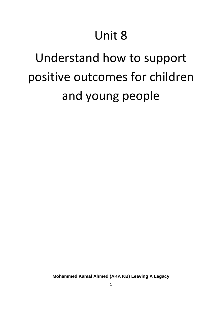# Unit 8

# Understand how to support positive outcomes for children and young people

**Mohammed Kamal Ahmed (AKA KB) Leaving A Legacy**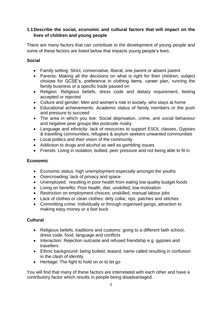# **1.1Describe the social, economic and cultural factors that will impact on the lives of children and young people**

There are many factors that can contribute to the development of young people and some of these factors are listed below that impacts young people's lives.

## **Social**

- Family setting: Strict, conservative, liberal, one parent or absent parent
- Parents: Making all the decisions on what is right for their children, subject choices for GCSE's, preference in clothing items, career plan, running the family business or a specific trade passed on
- Religion: Religious beliefs, dress code and dietary requirement, feeling accepted or rejected
- Culture and gender: Men and women's role in society, who stays at home
- Educational achievements: Academic status of family members or the push and pressure to succeed
- The area in which you live: Social deprivation, crime, anti social behaviour and negative peer groups like postcode rivalry
- Language and ethnicity: lack of resources to support ESOL classes, Gypsies & travelling communities, refugees & asylum seekers unwanted communities
- Local politics and their vision of the community
- Addiction to drugs and alcohol as well as gambling issues
- Friends: Living in isolation, bullied, peer pressure and not being able to fit in

### **Economic**

- Economic status: high unemployment especially amongst the youths
- Overcrowding: lack of privacy and space
- Unemployed: resulting in poor health from eating low quality budget foods
- Living on benefits: Poor health, diet, unskilled, low motivation
- Restriction on employment choices: unskilled, manual labour jobs
- Lack of clothes or clean clothes: dirty collar, rips, patches and stitches
- Committing crime: Individually or through organised gangs, attraction to making easy money or a fast buck

# **Cultural**

- Religious beliefs, traditions and customs: going to a different faith school, dress code, food, language and conflicts
- Interaction: Rejection outcaste and refused friendship e.g. gypsies and travellers
- Ethnic background: being bullied, teased, name called resulting in confusion in the clash of identity
- Heritage: The fight to hold on or to let go

You will find that many of these factors are interrelated with each other and have a contributory factor which results in people being disadvantaged.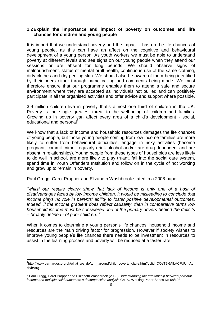#### **1.2Explain the importance and impact of poverty on outcomes and life chances for children and young people**

It is import that we understand poverty and the impact it has on the life chances of young people, as this can have an affect on the cognitive and behavioural development of a young person. As youth workers we must be able to understand poverty at different levels and see signs on our young people when they attend our sessions or are absent for long periods. We should observe signs of malnourishment, status of mental or ill health, continuous use of the same clothing, dirty clothes and dry peeling skin. We should also be aware of them being identified by their peers either through name calling and comments being made. We must therefore ensure that our programme enables them to attend a safe and secure environment where they are accepted as individuals not bullied and can positively participate in all the organised activities and offer advice and support where possible.

3.9 million children live in poverty that's almost one third of children in the UK. Poverty is the single greatest threat to the well-being of children and families. Growing up in poverty can affect every area of a child's development - social, educational and personal<sup>1</sup>.

We know that a lack of income and household resources damages the life chances of young people, but those young people coming from low income families are more likely to suffer from behavioural difficulties, engage in risky activities (become pregnant, commit crime, regularly drink alcohol and/or are drug dependent and are absent in relationships). Young people from these types of households are less likely to do well in school, are more likely to play truant, fall into the social care system, spend time in Youth Offenders Institution and follow on in the cycle of not working and grow up to remain in poverty.

Paul Gregg, Carol Propper and Elizabeth Washbrook stated in a 2008 paper

*"whilst our results clearly show that lack of income is only one of a host of disadvantages faced by low income children, it would be misleading to conclude that income plays no role in parents' ability to foster positive developmental outcomes. Indeed, if the income gradient does reflect causality, then in comparative terms low household income must be considered one of the primary drivers behind the deficits – broadly defined - of poor children."<sup>2</sup>*

When it comes to determine a young person's life chances, household income and resources are the main driving factor for progression. However if society wishes to improve young people's life chances there needs to be investment in resources to assist in the learning process and poverty will be reduced at a faster rate.

**.** 

<sup>1</sup> http://www.barnardos.org.uk/what\_we\_do/turn\_around/child\_poverty\_claire.htm?gclid=COeT9t6AlLACFUUhtAo dNhVfrg

<sup>2</sup> Paul Gregg, Carol Propper and Elizabeth Washbrook (2008) *Understanding the relationship between parental income and multiple child outcomes: a decomposition analysis* CMPO Working Paper Series No 08/193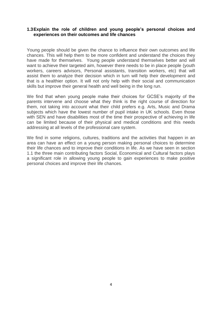#### **1.3Explain the role of children and young people's personal choices and experiences on their outcomes and life chances**

Young people should be given the chance to influence their own outcomes and life chances. This will help them to be more confident and understand the choices they have made for themselves. Young people understand themselves better and will want to achieve their targeted aim, however there needs to be in place people (youth workers, careers advisors, Personal assistants, transition workers, etc) that will assist them to analyze their decision which in turn will help their development and that is a healthier option. It will not only help with their social and communication skills but improve their general health and well being in the long run.

We find that when young people make their choices for GCSE's majority of the parents intervene and choose what they think is the right course of direction for them, not taking into account what their child prefers e.g. Arts, Music and Drama subjects which have the lowest number of pupil intake in UK schools. Even those with SEN and have disabilities most of the time their prospective of achieving in life can be limited because of their physical and medical conditions and this needs addressing at all levels of the professional care system.

We find in some religions, cultures, traditions and the activities that happen in an area can have an effect on a young person making personal choices to determine their life chances and to improve their conditions in life. As we have seen in section 1.1 the three main contributing factors Social, Economical and Cultural factors plays a significant role in allowing young people to gain experiences to make positive personal choices and improve their life chances.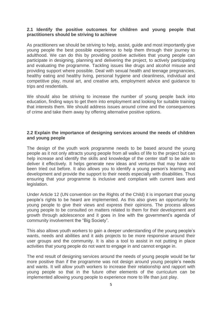#### **2.1 Identify the positive outcomes for children and young people that practitioners should be striving to achieve**

As practitioners we should be striving to help, assist, guide and most importantly give young people the best possible experience to help them through their journey to adulthood. We can do this by providing positive activities that young people can participate in designing, planning and delivering the project, to actively participating and evaluating the programme. Tackling issues like drugs and alcohol misuse and providing support where possible. Deal with sexual health and teenage pregnancies, healthy eating and healthy living, personal hygiene and cleanliness, individual and competitive play, mural art, and creative arts, employment advice and guidance to trips and resdentials.

We should also be striving to increase the number of young people back into education, finding ways to get them into employment and looking for suitable training that interests them. We should address issues around crime and the consequences of crime and take them away by offering alternative positive options.

#### **2.2 Explain the importance of designing services around the needs of children and young people**

The design of the youth work programme needs to be based around the young people as it not only attracts young people from all walks of life to the project but can help increase and identify the skills and knowledge of the center staff to be able to deliver it effectively. It helps generate new ideas and ventures that may have not been tried out before. It also allows you to identify a young person's learning and development and provide the support to their needs especially with disabilities. Thus ensuring that your programme is inclusive and compliant with current laws and legislation.

Under Article 12 (UN convention on the Rights of the Child) it is important that young people's rights to be heard are implemented. As this also gives an opportunity for young people to give their views and express their opinions. The process allows young people to be consulted on matters related to them for their development and growth through adolescence and it goes in line with the government's agenda of community involvement the "Big Society".

This also allows youth workers to gain a deeper understanding of the young people's wants, needs and abilities and it aids projects to be more responsive around their user groups and the community. It is also a tool to assist in not putting in place activities that young people do not want to engage in and cannot engage in.

The end result of designing services around the needs of young people would be far more positive than if the programme was not design around young people's needs and wants. It will allow youth workers to increase their relationship and rapport with young people so that in the future other elements of the curriculum can be implemented allowing young people to experience more to life than just play.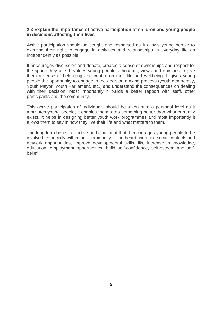#### **2.3 Explain the importance of active participation of children and young people in decisions affecting their lives**

Active participation should be sought and respected as it allows young people to exercise their right to engage in activities and relationships in everyday life as independently as possible.

It encourages discussion and debate, creates a sense of ownerships and respect for the space they use. It values young people's thoughts, views and opinions to give them a sense of belonging and control on their life and wellbeing. It gives young people the opportunity to engage in the decision making process (youth democracy, Youth Mayor, Youth Parliament, etc.) and understand the consequences on dealing with their decision. Most importantly it builds a better rapport with staff, other participants and the community.

This active participation of individuals should be taken onto a personal level as it motivates young people, it enables them to do something better than what currently exists, it helps in designing better youth work programmes and most importantly it allows them to say in how they live their life and what matters to them.

The long term benefit of active participation it that it encourages young people to be involved, especially within their community, to be heard, increase social contacts and network opportunities, improve developmental skills, like increase in knowledge, education, employment opportunities, build self-confidence, self-esteem and selfbelief.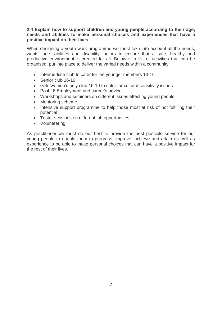#### **2.4 Explain how to support children and young people according to their age, needs and abilities to make personal choices and experiences that have a positive impact on their lives**

When designing a youth work programme we must take into account all the needs, wants, age, abilities and disability factors to ensure that a safe, healthy and productive environment is created for all. Below is a list of activities that can be organised, put into place to deliver the varied needs within a community.

- Intermediate club to cater for the younger members 13-16
- Senior club 16-19
- Girls/women's only club 16-19 to cater for cultural sensitivity issues
- Post 16 Employment and career's advice
- Workshops and seminars on different issues affecting young people
- Mentoring scheme
- Intensive support programme to help those most at risk of not fulfilling their potential
- Taster sessions on different job opportunities
- Volunteering

As practitioner we must do our best to provide the best possible service for our young people to enable them to progress, improve, achieve and attain as well as experience to be able to make personal choices that can have a positive impact for the rest of their lives.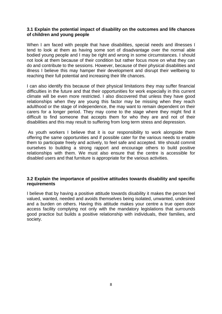#### **3.1 Explain the potential impact of disability on the outcomes and life chances of children and young people**

When I am faced with people that have disabilities, special needs and illnesses I tend to look at them as having some sort of disadvantage over the normal able bodied young people and I may be right and wrong in some circumstances. I should not look at them because of their condition but rather focus more on what they can do and contribute to the sessions. However, because of their physical disabilities and illness I believe this may hamper their development and disrupt their wellbeing to reaching their full potential and increasing their life chances.

I can also identify this because of their physical limitations they may suffer financial difficulties in the future and that their opportunities for work especially in this current climate will be even more restricted. I also discovered that unless they have good relationships when they are young this factor may be missing when they reach adulthood or the stage of independence, the may want to remain dependent on their carers for a longer period. They may come to the stage where they might find it difficult to find someone that accepts them for who they are and not of their disabilities and this may result to suffering from long term stress and depression.

As youth workers I believe that it is our responsibility to work alongside them offering the same opportunities and if possible cater for the various needs to enable them to participate freely and actively, to feel safe and accepted. We should commit ourselves to building a strong rapport and encourage others to build positive relationships with them. We must also ensure that the centre is accessible for disabled users and that furniture is appropriate for the various activities.

#### **3.2 Explain the importance of positive attitudes towards disability and specific requirements**

I believe that by having a positive attitude towards disability it makes the person feel valued, wanted, needed and avoids themselves being isolated, unwanted, undesired and a burden on others. Having this attitude makes your centre a true open door access facility complying not only with the mandatory legislations that surrounds good practice but builds a positive relationship with individuals, their families, and society.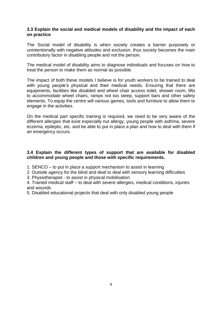#### **3.3 Explain the social and medical models of disability and the impact of each on practice**

The Social model of disability is when society creates a barrier purposely or unintentionally with negative attitudes and exclusion, thus society becomes the main contributory factor in disabling people and not the person.

The medical model of disability aims to diagnose individuals and focuses on how to treat the person to make them as normal as possible.

The impact of both these models I believe is for youth workers to be trained to deal with young people's physical and their medical needs. Ensuring that there are equipments, facilities like disabled and wheel chair access toilet, shower room, lifts to accommodate wheel chairs, ramps not too steep, support bars and other safety elements. To equip the centre will various games, tools and furniture to allow them to engage in the activities.

On the medical part specific training is required, we need to be very aware of the different allergies that exist especially nut allergy, young people with asthma, severe eczema, epileptic, etc. and be able to put in place a plan and how to deal with them if an emergency occurs.

#### **3.4 Explain the different types of support that are available for disabled children and young people and those with specific requirements.**

- 1. SENCO to put in place a support mechanism to assist in learning
- 2. Outside agency for the blind and deaf to deal with sensory learning difficulties
- 3. Physiotherapist to assist in physical mobilisation
- 4. Trained medical staff to deal with severe allergies, medical conditions, injuries and wounds
- 5. Disabled educational projects that deal with only disabled young people